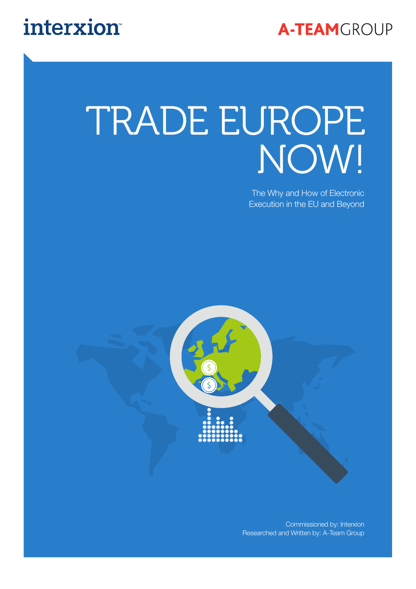

## interxion

## TRADE EUROPE NOW!

The Why and How of Electronic Execution in the EU and Beyond



Commissioned by: Interxion Researched and Written by: A-Team Group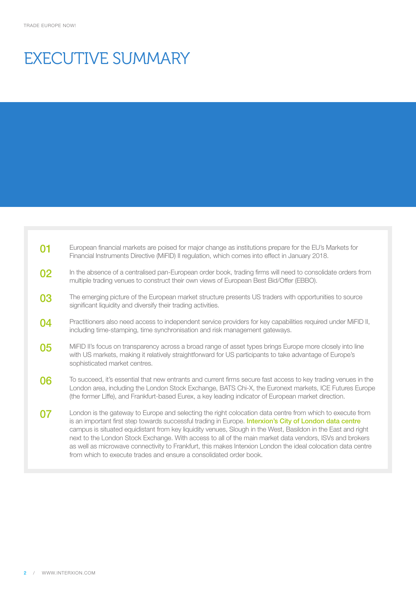### EXECUTIVE SUMMARY

| 01 | European financial markets are poised for major change as institutions prepare for the EU's Markets for<br>Financial Instruments Directive (MiFID) II regulation, which comes into effect in January 2018.                                                                                                                                                                                                                                                                                                                                                                                                                            |
|----|---------------------------------------------------------------------------------------------------------------------------------------------------------------------------------------------------------------------------------------------------------------------------------------------------------------------------------------------------------------------------------------------------------------------------------------------------------------------------------------------------------------------------------------------------------------------------------------------------------------------------------------|
| 02 | In the absence of a centralised pan-European order book, trading firms will need to consolidate orders from<br>multiple trading venues to construct their own views of European Best Bid/Offer (EBBO).                                                                                                                                                                                                                                                                                                                                                                                                                                |
| 03 | The emerging picture of the European market structure presents US traders with opportunities to source<br>significant liquidity and diversify their trading activities.                                                                                                                                                                                                                                                                                                                                                                                                                                                               |
| 04 | Practitioners also need access to independent service providers for key capabilities required under MiFID II,<br>including time-stamping, time synchronisation and risk management gateways.                                                                                                                                                                                                                                                                                                                                                                                                                                          |
| 05 | MiFID II's focus on transparency across a broad range of asset types brings Europe more closely into line<br>with US markets, making it relatively straightforward for US participants to take advantage of Europe's<br>sophisticated market centres.                                                                                                                                                                                                                                                                                                                                                                                 |
| 06 | To succeed, it's essential that new entrants and current firms secure fast access to key trading venues in the<br>London area, including the London Stock Exchange, BATS Chi-X, the Euronext markets, ICE Futures Europe<br>(the former Liffe), and Frankfurt-based Eurex, a key leading indicator of European market direction.                                                                                                                                                                                                                                                                                                      |
|    | London is the gateway to Europe and selecting the right colocation data centre from which to execute from<br>is an important first step towards successful trading in Europe. Interxion's City of London data centre<br>campus is situated equidistant from key liquidity venues, Slough in the West, Basildon in the East and right<br>next to the London Stock Exchange. With access to all of the main market data vendors, ISVs and brokers<br>as well as microwave connectivity to Frankfurt, this makes Interxion London the ideal colocation data centre<br>from which to execute trades and ensure a consolidated order book. |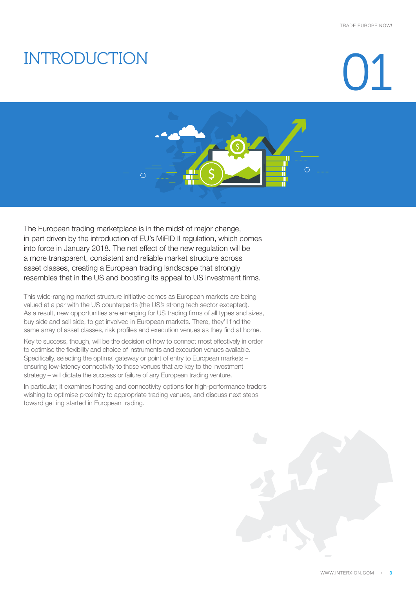### INTRODUCTION

## $\binom{1}{2}$



The European trading marketplace is in the midst of major change, in part driven by the introduction of EU's MiFID II regulation, which comes into force in January 2018. The net effect of the new regulation will be a more transparent, consistent and reliable market structure across asset classes, creating a European trading landscape that strongly resembles that in the US and boosting its appeal to US investment firms.

This wide-ranging market structure initiative comes as European markets are being valued at a par with the US counterparts (the US's strong tech sector excepted). As a result, new opportunities are emerging for US trading firms of all types and sizes, buy side and sell side, to get involved in European markets. There, they'll find the same array of asset classes, risk profiles and execution venues as they find at home.

Key to success, though, will be the decision of how to connect most effectively in order to optimise the flexibility and choice of instruments and execution venues available. Specifically, selecting the optimal gateway or point of entry to European markets – ensuring low-latency connectivity to those venues that are key to the investment strategy – will dictate the success or failure of any European trading venture.

In particular, it examines hosting and connectivity options for high-performance traders wishing to optimise proximity to appropriate trading venues, and discuss next steps toward getting started in European trading.

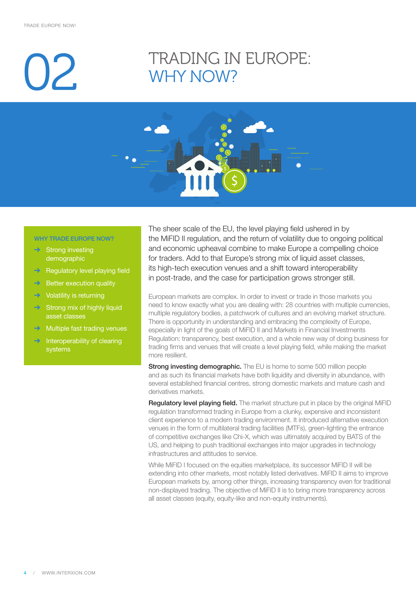## $\mathcal{V}$

### TRADING IN EUROPE: WHY NOW?



#### WHY TRADE EUROPE NOW?

- $\rightarrow$  Strong investing demographic
- **→** Regulatory level playing field
- $\rightarrow$  Better execution quality
- $\rightarrow$  Volatility is returning
- Strong mix of highly liquid asset classes
- $\rightarrow$  Multiple fast trading venues
- Interoperability of clearing systems

The sheer scale of the EU, the level playing field ushered in by the MiFID II regulation, and the return of volatility due to ongoing political and economic upheaval combine to make Europe a compelling choice for traders. Add to that Europe's strong mix of liquid asset classes, its high-tech execution venues and a shift toward interoperability in post-trade, and the case for participation grows stronger still.

European markets are complex. In order to invest or trade in those markets you need to know exactly what you are dealing with: 28 countries with multiple currencies, multiple regulatory bodies, a patchwork of cultures and an evolving market structure. There is opportunity in understanding and embracing the complexity of Europe, especially in light of the goals of MiFID II and Markets in Financial Investments Regulation: transparency, best execution, and a whole new way of doing business for trading firms and venues that will create a level playing field, while making the market more resilient.

**Strong investing demographic.** The EU is home to some 500 million people and as such its financial markets have both liquidity and diversity in abundance, with several established financial centres, strong domestic markets and mature cash and derivatives markets.

Regulatory level playing field. The market structure put in place by the original MiFID regulation transformed trading in Europe from a clunky, expensive and inconsistent client experience to a modern trading environment. It introduced alternative execution venues in the form of multilateral trading facilities (MTFs), green-lighting the entrance of competitive exchanges like Chi-X, which was ultimately acquired by BATS of the US, and helping to push traditional exchanges into major upgrades in technology infrastructures and attitudes to service.

While MiFID I focused on the equities marketplace, its successor MiFID II will be extending into other markets, most notably listed derivatives. MiFID II aims to improve European markets by, among other things, increasing transparency even for traditional non-displayed trading. The objective of MiFID II is to bring more transparency across all asset classes (equity, equity-like and non-equity instruments).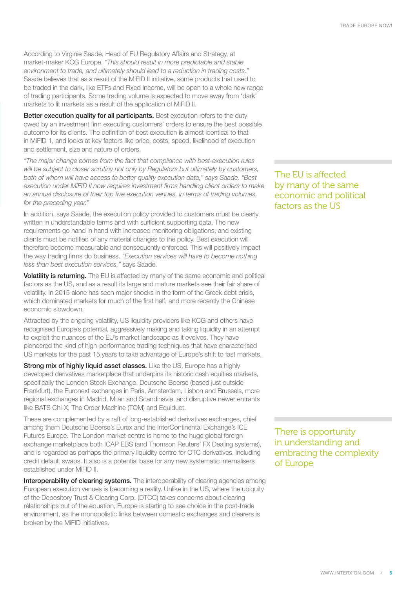According to Virginie Saade, Head of EU Regulatory Affairs and Strategy, at market-maker KCG Europe, *"This should result in more predictable and stable environment to trade, and ultimately should lead to a reduction in trading costs."* Saade believes that as a result of the MiFID II initiative, some products that used to be traded in the dark, like ETFs and Fixed Income, will be open to a whole new range of trading participants. Some trading volume is expected to move away from 'dark' markets to lit markets as a result of the application of MiFID II.

Better execution quality for all participants. Best execution refers to the duty owed by an investment firm executing customers' orders to ensure the best possible outcome for its clients. The definition of best execution is almost identical to that in MiFID 1, and looks at key factors like price, costs, speed, likelihood of execution and settlement, size and nature of orders.

*"The major change comes from the fact that compliance with best-execution rules will be subject to closer scrutiny not only by Regulators but ultimately by customers, both of whom will have access to better quality execution data," says Saade. "Best execution under MiFID II now requires investment firms handling client orders to make an annual disclosure of their top five execution venues, in terms of trading volumes, for the preceding year."*

In addition, says Saade, the execution policy provided to customers must be clearly written in understandable terms and with sufficient supporting data. The new requirements go hand in hand with increased monitoring obligations, and existing clients must be notified of any material changes to the policy. Best execution will therefore become measurable and consequently enforced. This will positively impact the way trading firms do business. *"Execution services will have to become nothing less than best execution services,"* says Saade.

Volatility is returning. The EU is affected by many of the same economic and political factors as the US, and as a result its large and mature markets see their fair share of volatility. In 2015 alone has seen major shocks in the form of the Greek debt crisis, which dominated markets for much of the first half, and more recently the Chinese economic slowdown.

Attracted by the ongoing volatility, US liquidity providers like KCG and others have recognised Europe's potential, aggressively making and taking liquidity in an attempt to exploit the nuances of the EU's market landscape as it evolves. They have pioneered the kind of high-performance trading techniques that have characterised US markets for the past 15 years to take advantage of Europe's shift to fast markets.

Strong mix of highly liquid asset classes. Like the US, Europe has a highly developed derivatives marketplace that underpins its historic cash equities markets, specifically the London Stock Exchange, Deutsche Boerse (based just outside Frankfurt), the Euronext exchanges in Paris, Amsterdam, Lisbon and Brussels, more regional exchanges in Madrid, Milan and Scandinavia, and disruptive newer entrants like BATS Chi-X, The Order Machine (TOM) and Equiduct.

These are complemented by a raft of long-established derivatives exchanges, chief among them Deutsche Boerse's Eurex and the InterContinental Exchange's ICE Futures Europe. The London market centre is home to the huge global foreign exchange marketplace both ICAP EBS (and Thomson Reuters' FX Dealing systems), and is regarded as perhaps the primary liquidity centre for OTC derivatives, including credit default swaps. It also is a potential base for any new systematic internalisers established under MiFID II.

Interoperability of clearing systems. The interoperability of clearing agencies among European execution venues is becoming a reality. Unlike in the US, where the ubiquity of the Depository Trust & Clearing Corp. (DTCC) takes concerns about clearing relationships out of the equation, Europe is starting to see choice in the post-trade environment, as the monopolistic links between domestic exchanges and clearers is broken by the MiFID initiatives.

The EU is affected by many of the same economic and political factors as the US

There is opportunity in understanding and embracing the complexity of Europe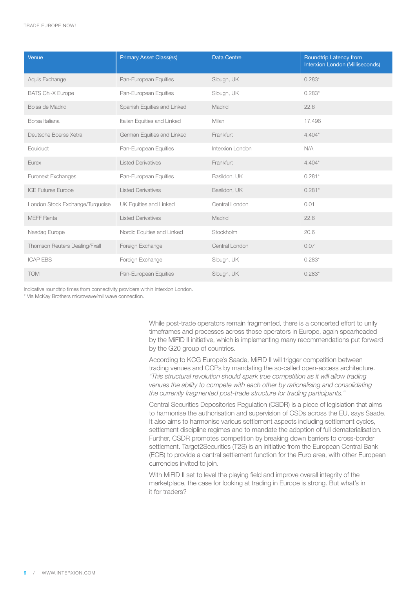| Venue                           | <b>Primary Asset Class(es)</b> | <b>Data Centre</b> | Roundtrip Latency from<br>Interxion London (Milliseconds) |
|---------------------------------|--------------------------------|--------------------|-----------------------------------------------------------|
| Aquis Exchange                  | Pan-European Equities          | Slough, UK         | $0.283*$                                                  |
| <b>BATS Chi-X Europe</b>        | Pan-European Equities          | Slough, UK         | $0.283*$                                                  |
| Bolsa de Madrid                 | Spanish Equities and Linked    | Madrid             | 22.6                                                      |
| Borsa Italiana                  | Italian Equities and Linked    | Milan              | 17.496                                                    |
| Deutsche Boerse Xetra           | German Equities and Linked     | Frankfurt          | $4.404*$                                                  |
| Equiduct                        | Pan-European Equities          | Interxion London   | N/A                                                       |
| Eurex                           | <b>Listed Derivatives</b>      | Frankfurt          | $4.404*$                                                  |
| <b>Euronext Exchanges</b>       | Pan-European Equities          | Basildon, UK       | $0.281*$                                                  |
| <b>ICE Futures Europe</b>       | <b>Listed Derivatives</b>      | Basildon, UK       | $0.281*$                                                  |
| London Stock Exchange/Turquoise | UK Equities and Linked         | Central London     | 0.01                                                      |
| <b>MEFF Renta</b>               | <b>Listed Derivatives</b>      | Madrid             | 22.6                                                      |
| Nasdaq Europe                   | Nordic Equities and Linked     | Stockholm          | 20.6                                                      |
| Thomson Reuters Dealing/Fxall   | Foreign Exchange               | Central London     | 0.07                                                      |
| <b>ICAP EBS</b>                 | Foreign Exchange               | Slough, UK         | $0.283*$                                                  |
| <b>TOM</b>                      | Pan-European Equities          | Slough, UK         | $0.283*$                                                  |

Indicative roundtrip times from connectivity providers within Interxion London.

\* Via McKay Brothers microwave/milliwave connection.

While post-trade operators remain fragmented, there is a concerted effort to unify timeframes and processes across those operators in Europe, again spearheaded by the MiFID II initiative, which is implementing many recommendations put forward by the G20 group of countries.

According to KCG Europe's Saade, MiFID II will trigger competition between trading venues and CCPs by mandating the so-called open-access architecture. *"This structural revolution should spark true competition as it will allow trading venues the ability to compete with each other by rationalising and consolidating the currently fragmented post-trade structure for trading participants."* 

Central Securities Depositories Regulation (CSDR) is a piece of legislation that aims to harmonise the authorisation and supervision of CSDs across the EU, says Saade. It also aims to harmonise various settlement aspects including settlement cycles, settlement discipline regimes and to mandate the adoption of full dematerialisation. Further, CSDR promotes competition by breaking down barriers to cross-border settlement. Target2Securities (T2S) is an initiative from the European Central Bank (ECB) to provide a central settlement function for the Euro area, with other European currencies invited to join.

With MiFID II set to level the playing field and improve overall integrity of the marketplace, the case for looking at trading in Europe is strong. But what's in it for traders?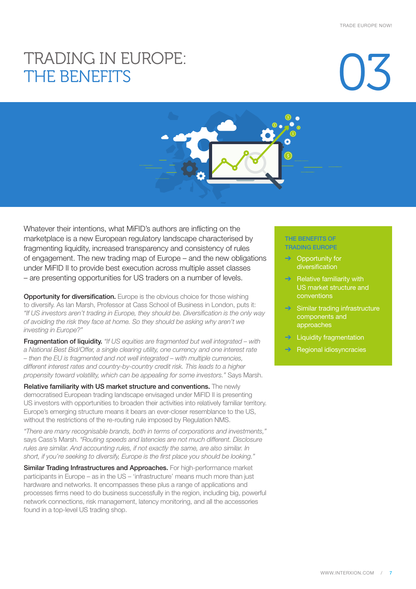### TRADING IN EUROPE: THE BENEFITS

## 03

Whatever their intentions, what MiFID's authors are inflicting on the marketplace is a new European regulatory landscape characterised by fragmenting liquidity, increased transparency and consistency of rules of engagement. The new trading map of Europe – and the new obligations under MiFID II to provide best execution across multiple asset classes – are presenting opportunities for US traders on a number of levels.

**Opportunity for diversification.** Europe is the obvious choice for those wishing to diversify. As Ian Marsh, Professor at Cass School of Business in London, puts it: *"If US investors aren't trading in Europe, they should be. Diversification is the only way of avoiding the risk they face at home. So they should be asking why aren't we investing in Europe?"*

Fragmentation of liquidity. *"If US equities are fragmented but well integrated – with a National Best Bid/Offer, a single clearing utility, one currency and one interest rate – then the EU is fragmented and not well integrated – with multiple currencies, different interest rates and country-by-country credit risk. This leads to a higher propensity toward volatility, which can be appealing for some investors."* Says Marsh.

Relative familiarity with US market structure and conventions. The newly democratised European trading landscape envisaged under MiFID II is presenting US investors with opportunities to broaden their activities into relatively familiar territory. Europe's emerging structure means it bears an ever-closer resemblance to the US, without the restrictions of the re-routing rule imposed by Regulation NMS.

*"There are many recognisable brands, both in terms of corporations and investments,"*  says Cass's Marsh. *"Routing speeds and latencies are not much different. Disclosure rules are similar. And accounting rules, if not exactly the same, are also similar. In short, if you're seeking to diversify, Europe is the first place you should be looking."*

Similar Trading Infrastructures and Approaches. For high-performance market participants in Europe – as in the US – 'infrastructure' means much more than just hardware and networks. It encompasses these plus a range of applications and processes firms need to do business successfully in the region, including big, powerful network connections, risk management, latency monitoring, and all the accessories found in a top-level US trading shop.

#### THE BENEFITS OF TRADING EUROPE

- $\rightarrow$  Opportunity for diversification
- $\rightarrow$  Relative familiarity with US market structure and conventions
- $\rightarrow$  Similar trading infrastructure components and approaches
- **Liquidity fragmentation**
- ➔ Regional idiosyncracies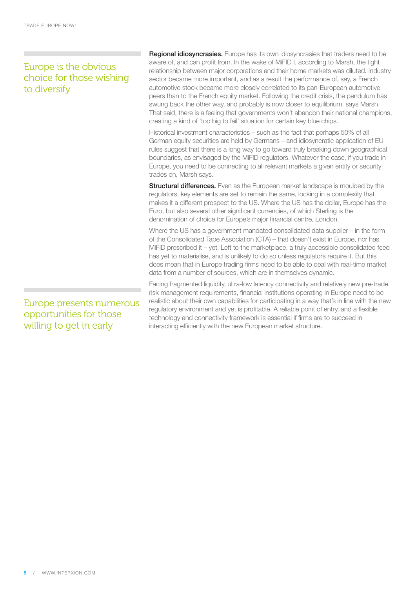### Europe is the obvious choice for those wishing to diversify

Regional idiosyncrasies. Europe has its own idiosyncrasies that traders need to be aware of, and can profit from. In the wake of MiFID I, according to Marsh, the tight relationship between major corporations and their home markets was diluted. Industry sector became more important, and as a result the performance of, say, a French automotive stock became more closely correlated to its pan-European automotive peers than to the French equity market. Following the credit crisis, the pendulum has swung back the other way, and probably is now closer to equilibrium, says Marsh. That said, there is a feeling that governments won't abandon their national champions, creating a kind of 'too big to fail' situation for certain key blue chips.

Historical investment characteristics – such as the fact that perhaps 50% of all German equity securities are held by Germans – and idiosyncratic application of EU rules suggest that there is a long way to go toward truly breaking down geographical boundaries, as envisaged by the MiFID regulators. Whatever the case, if you trade in Europe, you need to be connecting to all relevant markets a given entity or security trades on, Marsh says.

**Structural differences.** Even as the European market landscape is moulded by the regulators, key elements are set to remain the same, locking in a complexity that makes it a different prospect to the US. Where the US has the dollar, Europe has the Euro, but also several other significant currencies, of which Sterling is the denomination of choice for Europe's major financial centre, London.

Where the US has a government mandated consolidated data supplier – in the form of the Consolidated Tape Association (CTA) – that doesn't exist in Europe, nor has MiFID prescribed it – yet. Left to the marketplace, a truly accessible consolidated feed has yet to materialise, and is unlikely to do so unless regulators require it. But this does mean that in Europe trading firms need to be able to deal with real-time market data from a number of sources, which are in themselves dynamic.

Facing fragmented liquidity, ultra-low latency connectivity and relatively new pre-trade risk management requirements, financial institutions operating in Europe need to be realistic about their own capabilities for participating in a way that's in line with the new regulatory environment and yet is profitable. A reliable point of entry, and a flexible technology and connectivity framework is essential if firms are to succeed in interacting efficiently with the new European market structure.

Europe presents numerous opportunities for those willing to get in early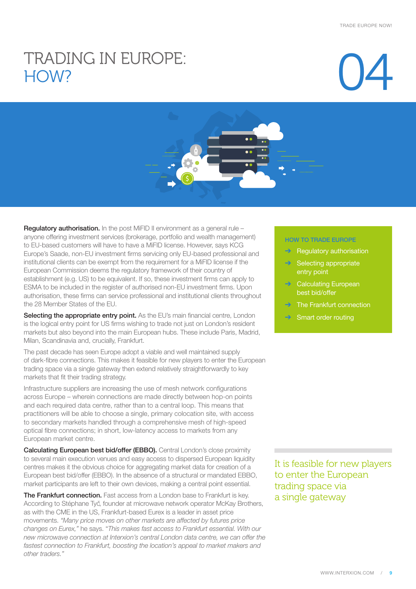# TRADING IN EUROPE: **Q4**





Regulatory authorisation. In the post MiFID II environment as a general rule anyone offering investment services (brokerage, portfolio and wealth management) to EU-based customers will have to have a MiFID license. However, says KCG Europe's Saade, non-EU investment firms servicing only EU-based professional and institutional clients can be exempt from the requirement for a MiFID license if the European Commission deems the regulatory framework of their country of establishment (e.g. US) to be equivalent. If so, these investment firms can apply to ESMA to be included in the register of authorised non-EU investment firms. Upon authorisation, these firms can service professional and institutional clients throughout the 28 Member States of the EU.

Selecting the appropriate entry point. As the EU's main financial centre, London is the logical entry point for US firms wishing to trade not just on London's resident markets but also beyond into the main European hubs. These include Paris, Madrid, Milan, Scandinavia and, crucially, Frankfurt.

The past decade has seen Europe adopt a viable and well maintained supply of dark-fibre connections. This makes it feasible for new players to enter the European trading space via a single gateway then extend relatively straightforwardly to key markets that fit their trading strategy.

Infrastructure suppliers are increasing the use of mesh network configurations across Europe – wherein connections are made directly between hop-on points and each required data centre, rather than to a central loop. This means that practitioners will be able to choose a single, primary colocation site, with access to secondary markets handled through a comprehensive mesh of high-speed optical fibre connections; in short, low-latency access to markets from any European market centre.

**Calculating European best bid/offer (EBBO).** Central London's close proximity to several main execution venues and easy access to dispersed European liquidity centres makes it the obvious choice for aggregating market data for creation of a European best bid/offer (EBBO). In the absence of a structural or mandated EBBO, market participants are left to their own devices, making a central point essential.

The Frankfurt connection. Fast access from a London base to Frankfurt is key. According to Stéphane Tyč, founder at microwave network operator McKay Brothers, as with the CME in the US, Frankfurt-based Eurex is a leader in asset price movements. *"Many price moves on other markets are affected by futures price changes on Eurex,"* he says. "*This makes fast access to Frankfurt essential. With our new microwave connection at Interxion's central London data centre, we can offer the*  fastest connection to Frankfurt, boosting the location's appeal to market makers and *other traders."*

#### HOW TO TRADE EUROPE

- Regulatory authorisation
- Selecting appropriate entry point
- Calculating European best bid/offer
- ➔ The Frankfurt connection
- Smart order routing

It is feasible for new players to enter the European trading space via a single gateway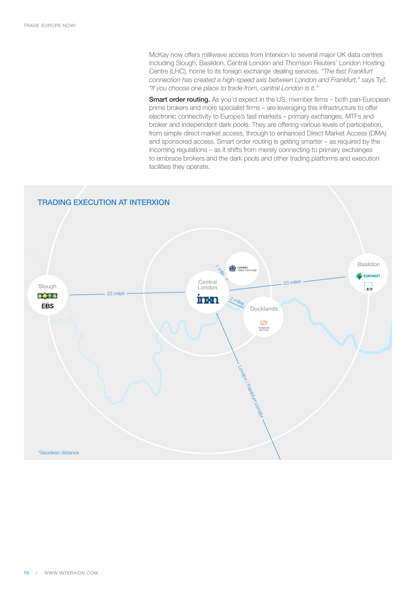McKay now offers milliwave access from Interxion to several major UK data centres including Slough, Basildon, Central London and Thomson Reuters' London Hosting Centre (LHC), home to its foreign exchange dealing services. *"The fast Frankfurt connection has created a high-speed axis between London and Frankfurt,"* says Tyč. *"If you choose one place to trade from, central London is it."*

**Smart order routing.** As you'd expect in the US, member firms – both pan-European prime brokers and more specialist firms – are leveraging this infrastructure to offer electronic connectivity to Europe's fast markets – primary exchanges, MTFs and broker and independent dark pools. They are offering various levels of participation, from simple direct market access, through to enhanced Direct Market Access (DMA) and sponsored access. Smart order routing is getting smarter – as required by the incoming regulations – as it shifts from merely connecting to primary exchanges to embrace brokers and the dark pools and other trading platforms and execution facilities they operate.

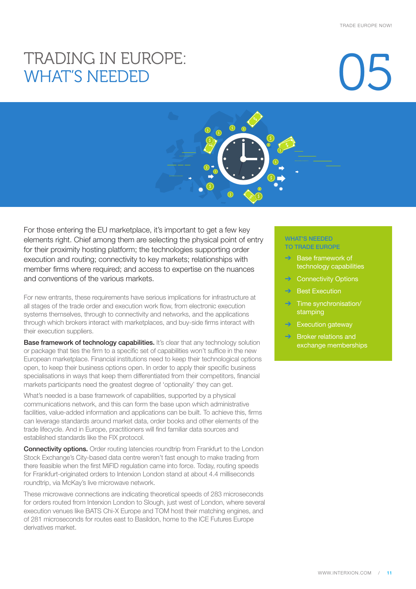# TRADING IN EUROPE:<br>WHAT'S NEEDED OS



For those entering the EU marketplace, it's important to get a few key elements right. Chief among them are selecting the physical point of entry for their proximity hosting platform; the technologies supporting order execution and routing; connectivity to key markets; relationships with member firms where required; and access to expertise on the nuances and conventions of the various markets.

For new entrants, these requirements have serious implications for infrastructure at all stages of the trade order and execution work flow, from electronic execution systems themselves, through to connectivity and networks, and the applications through which brokers interact with marketplaces, and buy-side firms interact with their execution suppliers.

Base framework of technology capabilities. It's clear that any technology solution or package that ties the firm to a specific set of capabilities won't suffice in the new European marketplace. Financial institutions need to keep their technological options open, to keep their business options open. In order to apply their specific business specialisations in ways that keep them differentiated from their competitors, financial markets participants need the greatest degree of 'optionality' they can get.

What's needed is a base framework of capabilities, supported by a physical communications network, and this can form the base upon which administrative facilities, value-added information and applications can be built. To achieve this, firms can leverage standards around market data, order books and other elements of the trade lifecycle. And in Europe, practitioners will find familiar data sources and established standards like the FIX protocol.

**Connectivity options.** Order routing latencies roundtrip from Frankfurt to the London Stock Exchange's City-based data centre weren't fast enough to make trading from there feasible when the first MiFID regulation came into force. Today, routing speeds for Frankfurt-originated orders to Interxion London stand at about 4.4 milliseconds roundtrip, via McKay's live microwave network.

These microwave connections are indicating theoretical speeds of 283 microseconds for orders routed from Interxion London to Slough, just west of London, where several execution venues like BATS Chi-X Europe and TOM host their matching engines, and of 281 microseconds for routes east to Basildon, home to the ICE Futures Europe derivatives market.

#### WHAT'S NEEDED TO TRADE EUROPE

- ➔ Base framework of technology capabilities
- **→** Connectivity Options
- **→** Best Execution
- $\rightarrow$  Time synchronisation/ stamping
- **Execution gateway**
- ➔ Broker relations and exchange memberships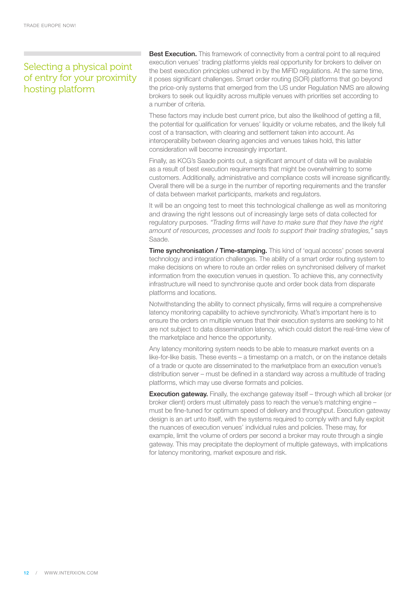### Selecting a physical point of entry for your proximity hosting platform

**Best Execution.** This framework of connectivity from a central point to all required execution venues' trading platforms yields real opportunity for brokers to deliver on the best execution principles ushered in by the MiFID regulations. At the same time, it poses significant challenges. Smart order routing (SOR) platforms that go beyond the price-only systems that emerged from the US under Regulation NMS are allowing brokers to seek out liquidity across multiple venues with priorities set according to a number of criteria.

These factors may include best current price, but also the likelihood of getting a fill, the potential for qualification for venues' liquidity or volume rebates, and the likely full cost of a transaction, with clearing and settlement taken into account. As interoperability between clearing agencies and venues takes hold, this latter consideration will become increasingly important.

Finally, as KCG's Saade points out, a significant amount of data will be available as a result of best execution requirements that might be overwhelming to some customers. Additionally, administrative and compliance costs will increase significantly. Overall there will be a surge in the number of reporting requirements and the transfer of data between market participants, markets and regulators.

It will be an ongoing test to meet this technological challenge as well as monitoring and drawing the right lessons out of increasingly large sets of data collected for regulatory purposes. *"Trading firms will have to make sure that they have the right amount of resources, processes and tools to support their trading strategies,"* says Saade.

**Time synchronisation / Time-stamping.** This kind of 'equal access' poses several technology and integration challenges. The ability of a smart order routing system to make decisions on where to route an order relies on synchronised delivery of market information from the execution venues in question. To achieve this, any connectivity infrastructure will need to synchronise quote and order book data from disparate platforms and locations.

Notwithstanding the ability to connect physically, firms will require a comprehensive latency monitoring capability to achieve synchronicity. What's important here is to ensure the orders on multiple venues that their execution systems are seeking to hit are not subject to data dissemination latency, which could distort the real-time view of the marketplace and hence the opportunity.

Any latency monitoring system needs to be able to measure market events on a like-for-like basis. These events – a timestamp on a match, or on the instance details of a trade or quote are disseminated to the marketplace from an execution venue's distribution server – must be defined in a standard way across a multitude of trading platforms, which may use diverse formats and policies.

**Execution gateway.** Finally, the exchange gateway itself – through which all broker (or broker client) orders must ultimately pass to reach the venue's matching engine – must be fine-tuned for optimum speed of delivery and throughput. Execution gateway design is an art unto itself, with the systems required to comply with and fully exploit the nuances of execution venues' individual rules and policies. These may, for example, limit the volume of orders per second a broker may route through a single gateway. This may precipitate the deployment of multiple gateways, with implications for latency monitoring, market exposure and risk.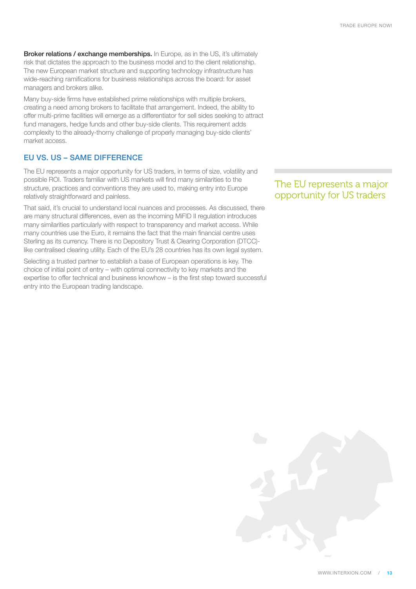Broker relations / exchange memberships. In Europe, as in the US, it's ultimately risk that dictates the approach to the business model and to the client relationship. The new European market structure and supporting technology infrastructure has wide-reaching ramifications for business relationships across the board: for asset managers and brokers alike.

Many buy-side firms have established prime relationships with multiple brokers, creating a need among brokers to facilitate that arrangement. Indeed, the ability to offer multi-prime facilities will emerge as a differentiator for sell sides seeking to attract fund managers, hedge funds and other buy-side clients. This requirement adds complexity to the already-thorny challenge of properly managing buy-side clients' market access.

#### EU VS. US – SAME DIFFERENCE

The EU represents a major opportunity for US traders, in terms of size, volatility and possible ROI. Traders familiar with US markets will find many similarities to the structure, practices and conventions they are used to, making entry into Europe relatively straightforward and painless.

That said, it's crucial to understand local nuances and processes. As discussed, there are many structural differences, even as the incoming MiFID II regulation introduces many similarities particularly with respect to transparency and market access. While many countries use the Euro, it remains the fact that the main financial centre uses Sterling as its currency. There is no Depository Trust & Clearing Corporation (DTCC) like centralised clearing utility. Each of the EU's 28 countries has its own legal system.

Selecting a trusted partner to establish a base of European operations is key. The choice of initial point of entry – with optimal connectivity to key markets and the expertise to offer technical and business knowhow – is the first step toward successful entry into the European trading landscape.

The EU represents a major opportunity for US traders

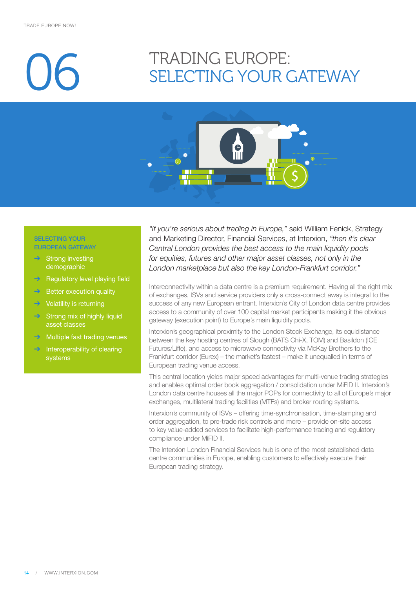## TRADING EUROPE:<br>SELECTING YOUR GATEWAY



#### SELECTING YOUR EUROPEAN GATEWAY

- **Strong investing** demographic
- **→** Regulatory level playing field
- $\rightarrow$  Better execution quality
- $\rightarrow$  Volatility is returning
- $\rightarrow$  Strong mix of highly liquid asset classes
- **→** Multiple fast trading venues
- $\rightarrow$  Interoperability of clearing systems

*"If you're serious about trading in Europe,"* said William Fenick, Strategy and Marketing Director, Financial Services, at Interxion, *"then it's clear Central London provides the best access to the main liquidity pools for equities, futures and other major asset classes, not only in the London marketplace but also the key London-Frankfurt corridor."*

Interconnectivity within a data centre is a premium requirement. Having all the right mix of exchanges, ISVs and service providers only a cross-connect away is integral to the success of any new European entrant. Interxion's City of London data centre provides access to a community of over 100 capital market participants making it the obvious gateway (execution point) to Europe's main liquidity pools.

Interxion's geographical proximity to the London Stock Exchange, its equidistance between the key hosting centres of Slough (BATS Chi-X, TOM) and Basildon (ICE Futures/Liffe), and access to microwave connectivity via McKay Brothers to the Frankfurt corridor (Eurex) – the market's fastest – make it unequalled in terms of European trading venue access.

This central location yields major speed advantages for multi-venue trading strategies and enables optimal order book aggregation / consolidation under MiFID II. Interxion's London data centre houses all the major POPs for connectivity to all of Europe's major exchanges, multilateral trading facilities (MTFs) and broker routing systems.

Interxion's community of ISVs – offering time-synchronisation, time-stamping and order aggregation, to pre-trade risk controls and more – provide on-site access to key value-added services to facilitate high-performance trading and regulatory compliance under MiFID II.

The Interxion London Financial Services hub is one of the most established data centre communities in Europe, enabling customers to effectively execute their European trading strategy.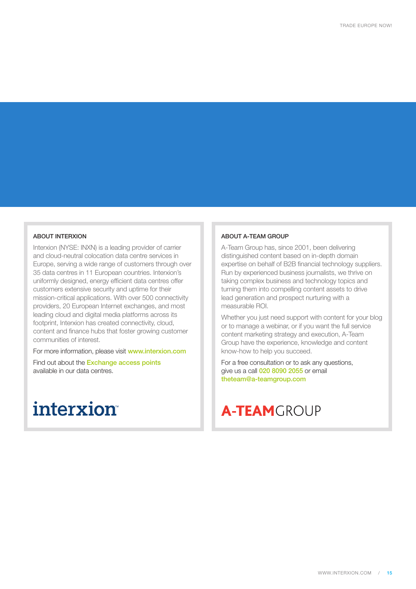#### ABOUT INTERXION

Interxion (NYSE: INXN) is a leading provider of carrier and cloud-neutral colocation data centre services in Europe, serving a wide range of customers through over 35 data centres in 11 European countries. Interxion's uniformly designed, energy efficient data centres offer customers extensive security and uptime for their mission-critical applications. With over 500 connectivity providers, 20 European Internet exchanges, and most leading cloud and digital media platforms across its footprint, Interxion has created connectivity, cloud, content and finance hubs that foster growing customer communities of interest.

For more information, please visit www.interxion.com

Find out about the **[Exchange access points](http://www.interxion.com/why-interxion/communities-of-interest/finance-hubs/exchange-access-points/)** available in our data centres.

### **interxion**

#### ABOUT A-TEAM GROUP

A-Team Group has, since 2001, been delivering distinguished content based on in-depth domain expertise on behalf of B2B financial technology suppliers. Run by experienced business journalists, we thrive on taking complex business and technology topics and turning them into compelling content assets to drive lead generation and prospect nurturing with a measurable ROI.

Whether you just need support with content for your blog or to manage a webinar, or if you want the full service content marketing strategy and execution, A-Team Group have the experience, knowledge and content know-how to help you succeed.

For a free consultation or to ask any questions, give us a call 020 8090 2055 or email theteam@a-teamgroup.com

### **A-TEAM**GROUP